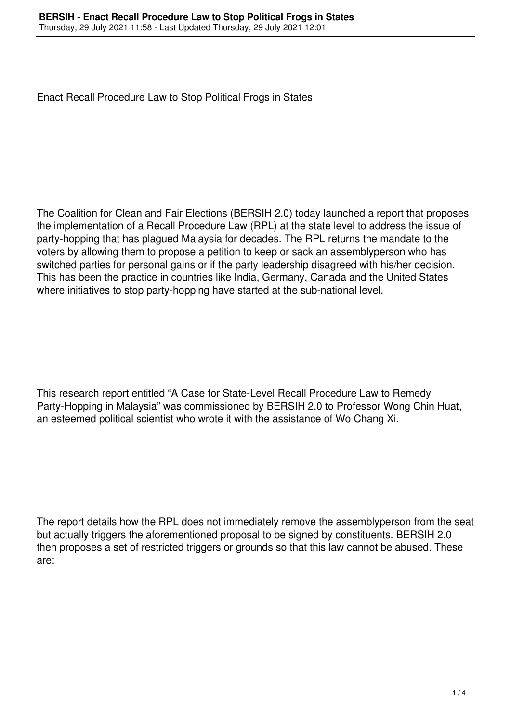Enact Recall Procedure Law to Stop Political Frogs in States

The Coalition for Clean and Fair Elections (BERSIH 2.0) today launched a report that proposes the implementation of a Recall Procedure Law (RPL) at the state level to address the issue of party-hopping that has plagued Malaysia for decades. The RPL returns the mandate to the voters by allowing them to propose a petition to keep or sack an assemblyperson who has switched parties for personal gains or if the party leadership disagreed with his/her decision. This has been the practice in countries like India, Germany, Canada and the United States where initiatives to stop party-hopping have started at the sub-national level.

This research report entitled "A Case for State-Level Recall Procedure Law to Remedy Party-Hopping in Malaysia" was commissioned by BERSIH 2.0 to Professor Wong Chin Huat, an esteemed political scientist who wrote it with the assistance of Wo Chang Xi.

The report details how the RPL does not immediately remove the assemblyperson from the seat but actually triggers the aforementioned proposal to be signed by constituents. BERSIH 2.0 then proposes a set of restricted triggers or grounds so that this law cannot be abused. These are: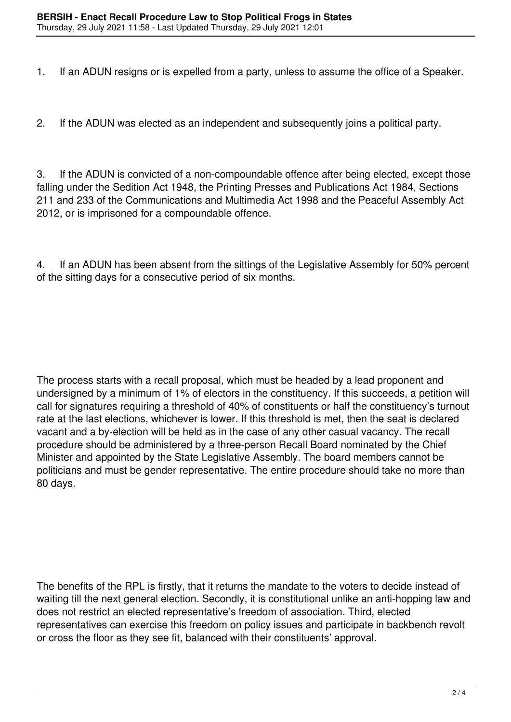1. If an ADUN resigns or is expelled from a party, unless to assume the office of a Speaker.

2. If the ADUN was elected as an independent and subsequently joins a political party.

3. If the ADUN is convicted of a non-compoundable offence after being elected, except those falling under the Sedition Act 1948, the Printing Presses and Publications Act 1984, Sections 211 and 233 of the Communications and Multimedia Act 1998 and the Peaceful Assembly Act 2012, or is imprisoned for a compoundable offence.

4. If an ADUN has been absent from the sittings of the Legislative Assembly for 50% percent of the sitting days for a consecutive period of six months.

The process starts with a recall proposal, which must be headed by a lead proponent and undersigned by a minimum of 1% of electors in the constituency. If this succeeds, a petition will call for signatures requiring a threshold of 40% of constituents or half the constituency's turnout rate at the last elections, whichever is lower. If this threshold is met, then the seat is declared vacant and a by-election will be held as in the case of any other casual vacancy. The recall procedure should be administered by a three-person Recall Board nominated by the Chief Minister and appointed by the State Legislative Assembly. The board members cannot be politicians and must be gender representative. The entire procedure should take no more than 80 days.

The benefits of the RPL is firstly, that it returns the mandate to the voters to decide instead of waiting till the next general election. Secondly, it is constitutional unlike an anti-hopping law and does not restrict an elected representative's freedom of association. Third, elected representatives can exercise this freedom on policy issues and participate in backbench revolt or cross the floor as they see fit, balanced with their constituents' approval.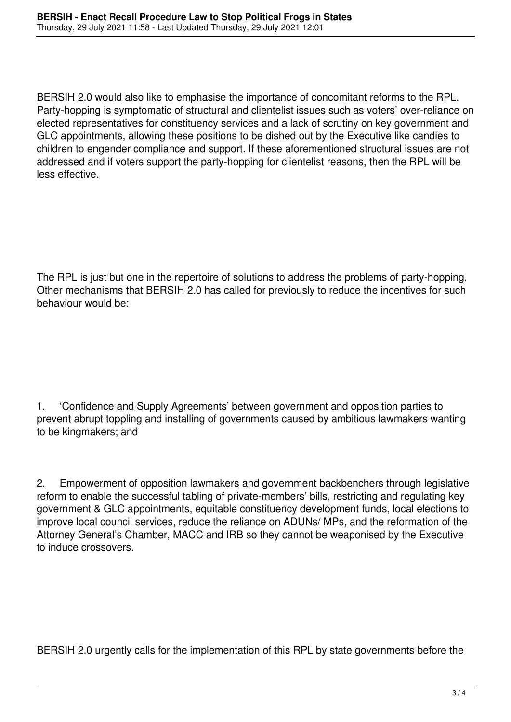BERSIH 2.0 would also like to emphasise the importance of concomitant reforms to the RPL. Party-hopping is symptomatic of structural and clientelist issues such as voters' over-reliance on elected representatives for constituency services and a lack of scrutiny on key government and GLC appointments, allowing these positions to be dished out by the Executive like candies to children to engender compliance and support. If these aforementioned structural issues are not addressed and if voters support the party-hopping for clientelist reasons, then the RPL will be less effective.

The RPL is just but one in the repertoire of solutions to address the problems of party-hopping. Other mechanisms that BERSIH 2.0 has called for previously to reduce the incentives for such behaviour would be:

1. 'Confidence and Supply Agreements' between government and opposition parties to prevent abrupt toppling and installing of governments caused by ambitious lawmakers wanting to be kingmakers; and

2. Empowerment of opposition lawmakers and government backbenchers through legislative reform to enable the successful tabling of private-members' bills, restricting and regulating key government & GLC appointments, equitable constituency development funds, local elections to improve local council services, reduce the reliance on ADUNs/ MPs, and the reformation of the Attorney General's Chamber, MACC and IRB so they cannot be weaponised by the Executive to induce crossovers.

BERSIH 2.0 urgently calls for the implementation of this RPL by state governments before the